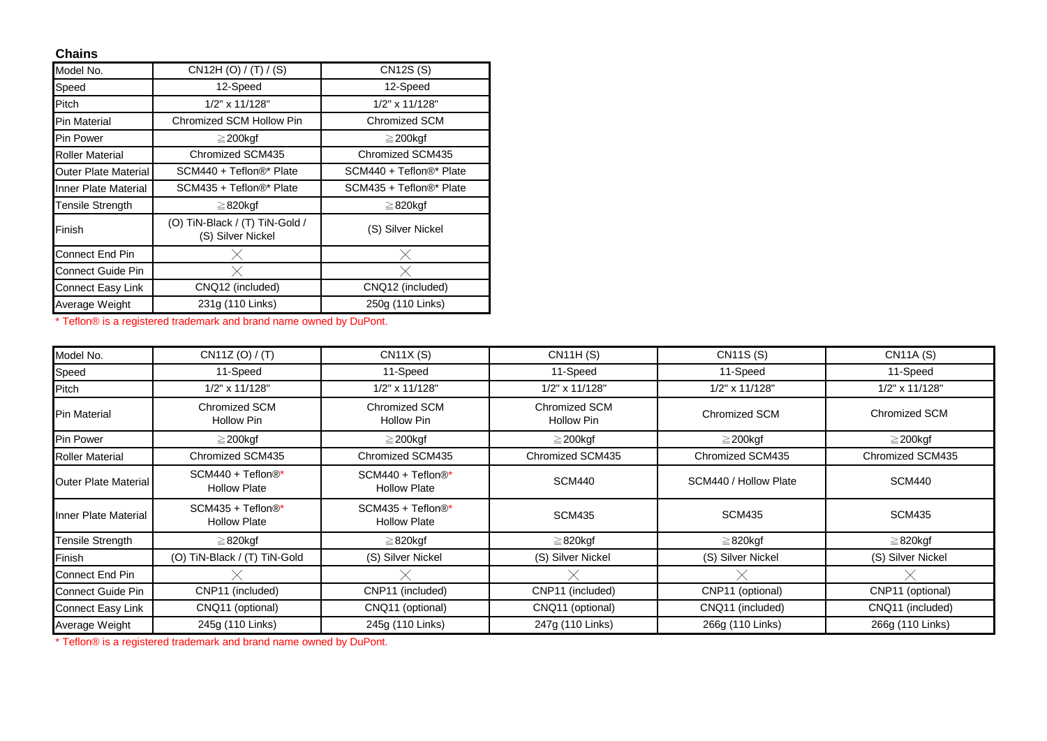## **Chains**

| Model No.                   | CN12H (O) / (T) / (S)                               | <b>CN12S (S)</b>        |
|-----------------------------|-----------------------------------------------------|-------------------------|
| Speed                       | 12-Speed                                            | 12-Speed                |
| Pitch                       | 1/2" x 11/128"                                      | 1/2" x 11/128"          |
| Pin Material                | Chromized SCM Hollow Pin                            | Chromized SCM           |
| Pin Power                   | $\geq$ 200kgf                                       | $\geq$ 200 kgf          |
| <b>Roller Material</b>      | Chromized SCM435                                    | Chromized SCM435        |
| <b>Outer Plate Material</b> | SCM440 + Teflon®* Plate                             | SCM440 + Teflon®* Plate |
| Inner Plate Material        | SCM435 + Teflon®* Plate                             | SCM435 + Teflon®* Plate |
| <b>Tensile Strength</b>     | $\geq$ 820kgf                                       | $\geq$ 820kgf           |
| Finish                      | (O) TiN-Black / (T) TiN-Gold /<br>(S) Silver Nickel | (S) Silver Nickel       |
| <b>Connect End Pin</b>      | X.                                                  | $\times$                |
| <b>Connect Guide Pin</b>    | X                                                   | $\times$                |
| <b>Connect Easy Link</b>    | CNQ12 (included)                                    | CNQ12 (included)        |
| Average Weight              | 231g (110 Links)                                    | 250g (110 Links)        |

\* Teflon® is a registered trademark and brand name owned by DuPont.

| Model No.                   | CN11Z (O) / (T)                          | CN11X(S)                                   | <b>CN11H (S)</b>            | <b>CN11S (S)</b>      | CN11A (S)         |
|-----------------------------|------------------------------------------|--------------------------------------------|-----------------------------|-----------------------|-------------------|
| Speed                       | 11-Speed                                 | 11-Speed                                   | 11-Speed                    | 11-Speed              | 11-Speed          |
| Pitch                       | 1/2" x 11/128"                           | 1/2" x 11/128"                             | 1/2" x 11/128"              | 1/2" x 11/128"        | 1/2" x 11/128"    |
| <b>Pin Material</b>         | Chromized SCM<br>Hollow Pin              | Chromized SCM<br>Hollow Pin                | Chromized SCM<br>Hollow Pin | Chromized SCM         | Chromized SCM     |
| Pin Power                   | $\geq$ 200kgf                            | $\geq$ 200kgf                              | $\geq$ 200kgf               | $\geq$ 200kgf         | $\geq$ 200kgf     |
| <b>Roller Material</b>      | Chromized SCM435                         | Chromized SCM435                           | Chromized SCM435            | Chromized SCM435      | Chromized SCM435  |
| <b>Outer Plate Material</b> | SCM440 + Teflon®*<br><b>Hollow Plate</b> | SCM440 + Teflon®*<br><b>Hollow Plate</b>   | <b>SCM440</b>               | SCM440 / Hollow Plate | <b>SCM440</b>     |
| Inner Plate Material        | SCM435 + Teflon®*<br><b>Hollow Plate</b> | $SCM435 + Teflon@*$<br><b>Hollow Plate</b> | <b>SCM435</b>               | <b>SCM435</b>         | <b>SCM435</b>     |
| Tensile Strength            | $\geq$ 820kgf                            | $\geq$ 820kgf                              | $\geq$ 820kgf               | $\geq$ 820kgf         | $\geq$ 820kgf     |
| Finish                      | (O) TiN-Black / (T) TiN-Gold             | (S) Silver Nickel                          | (S) Silver Nickel           | (S) Silver Nickel     | (S) Silver Nickel |
| Connect End Pin             |                                          |                                            |                             |                       |                   |
| Connect Guide Pin           | CNP11 (included)                         | CNP11 (included)                           | CNP11 (included)            | CNP11 (optional)      | CNP11 (optional)  |
| Connect Easy Link           | CNQ11 (optional)                         | CNQ11 (optional)                           | CNQ11 (optional)            | CNQ11 (included)      | CNQ11 (included)  |
| Average Weight              | 245g (110 Links)                         | 245g (110 Links)                           | 247g (110 Links)            | 266g (110 Links)      | 266g (110 Links)  |

\* Teflon® is a registered trademark and brand name owned by DuPont.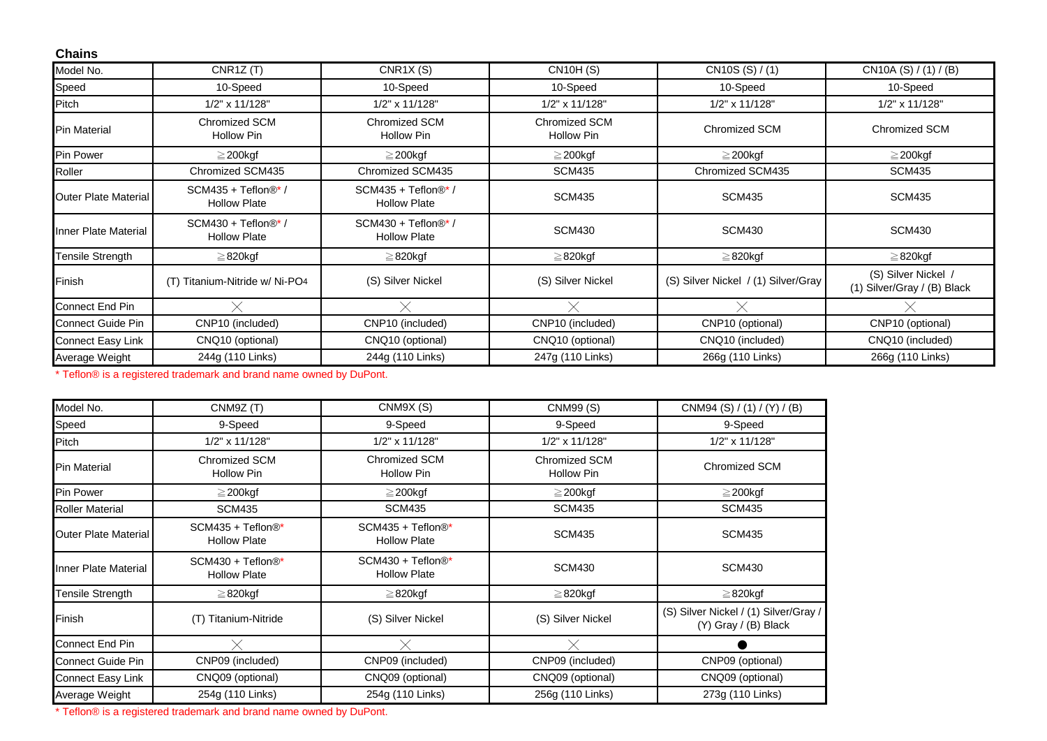| <b>Chains</b>               |                                            |                                            |                             |                                     |                                                    |
|-----------------------------|--------------------------------------------|--------------------------------------------|-----------------------------|-------------------------------------|----------------------------------------------------|
| Model No.                   | CNR1Z(T)                                   | CNR1X(S)                                   | <b>CN10H (S)</b>            | CN10S (S) / (1)                     | CN10A (S) $/$ (1) $/$ (B)                          |
| Speed                       | 10-Speed                                   | 10-Speed                                   | 10-Speed                    | 10-Speed                            | 10-Speed                                           |
| Pitch                       | 1/2" x 11/128"                             | 1/2" x 11/128"                             | 1/2" x 11/128"              | 1/2" x 11/128"                      | 1/2" x 11/128"                                     |
| <b>Pin Material</b>         | <b>Chromized SCM</b><br>Hollow Pin         | Chromized SCM<br><b>Hollow Pin</b>         | Chromized SCM<br>Hollow Pin | Chromized SCM                       | <b>Chromized SCM</b>                               |
| Pin Power                   | $\geq$ 200kgf                              | $\geq$ 200kgf                              | $\geq$ 200kgf               | $\geq$ 200kgf                       | $\geq$ 200kgf                                      |
| Roller                      | Chromized SCM435                           | Chromized SCM435                           | <b>SCM435</b>               | Chromized SCM435                    | <b>SCM435</b>                                      |
| <b>Outer Plate Material</b> | SCM435 + Teflon®* /<br><b>Hollow Plate</b> | SCM435 + Teflon®* /<br><b>Hollow Plate</b> | <b>SCM435</b>               | <b>SCM435</b>                       | <b>SCM435</b>                                      |
| Inner Plate Material        | SCM430 + Teflon®* /<br><b>Hollow Plate</b> | SCM430 + Teflon®* /<br><b>Hollow Plate</b> | <b>SCM430</b>               | <b>SCM430</b>                       | <b>SCM430</b>                                      |
| Tensile Strength            | ≧820kgf                                    | $\geq$ 820kgf                              | $\geq$ 820kgf               | $\geq$ 820kgf                       | $\geq$ 820kgf                                      |
| Finish                      | (T) Titanium-Nitride w/ Ni-PO4             | (S) Silver Nickel                          | (S) Silver Nickel           | (S) Silver Nickel / (1) Silver/Gray | (S) Silver Nickel /<br>(1) Silver/Gray / (B) Black |
| Connect End Pin             |                                            |                                            |                             |                                     |                                                    |
| Connect Guide Pin           | CNP10 (included)                           | CNP10 (included)                           | CNP10 (included)            | CNP10 (optional)                    | CNP10 (optional)                                   |
| Connect Easy Link           | CNQ10 (optional)                           | CNQ10 (optional)                           | CNQ10 (optional)            | CNQ10 (included)                    | CNQ10 (included)                                   |
| Average Weight              | 244g (110 Links)                           | 244g (110 Links)                           | 247g (110 Links)            | 266g (110 Links)                    | 266g (110 Links)                                   |

\* Teflon® is a registered trademark and brand name owned by DuPont.

| Model No.                   | CNM9Z (T)                                | CNM9X (S)                                | <b>CNM99 (S)</b>            | CNM94 (S) / (1) / (Y) / (B)                                     |
|-----------------------------|------------------------------------------|------------------------------------------|-----------------------------|-----------------------------------------------------------------|
| Speed                       | 9-Speed                                  | 9-Speed                                  | 9-Speed                     | 9-Speed                                                         |
| Pitch                       | 1/2" x 11/128"                           | 1/2" x 11/128"                           | 1/2" x 11/128"              | 1/2" x 11/128"                                                  |
| <b>Pin Material</b>         | Chromized SCM<br>Hollow Pin              | Chromized SCM<br><b>Hollow Pin</b>       | Chromized SCM<br>Hollow Pin | Chromized SCM                                                   |
| Pin Power                   | $\geq$ 200kgf                            | $\geq$ 200kgf                            | $\geq$ 200kgf               | $\geq$ 200kgf                                                   |
| <b>Roller Material</b>      | <b>SCM435</b>                            | <b>SCM435</b>                            | <b>SCM435</b>               | <b>SCM435</b>                                                   |
| <b>Outer Plate Material</b> | SCM435 + Teflon®*<br><b>Hollow Plate</b> | SCM435 + Teflon®*<br><b>Hollow Plate</b> | <b>SCM435</b>               | <b>SCM435</b>                                                   |
| Inner Plate Material        | SCM430 + Teflon®*<br><b>Hollow Plate</b> | SCM430 + Teflon®*<br><b>Hollow Plate</b> | <b>SCM430</b>               | <b>SCM430</b>                                                   |
| Tensile Strength            | $\geq$ 820kgf                            | $\geq$ 820kgf                            | $\geq$ 820kgf               | $\geq$ 820kgf                                                   |
| Finish                      | Titanium-Nitride<br>(T)                  | (S) Silver Nickel                        | (S) Silver Nickel           | (S) Silver Nickel / (1) Silver/Gray /<br>$(Y)$ Gray / (B) Black |
| <b>Connect End Pin</b>      |                                          |                                          |                             |                                                                 |
| <b>Connect Guide Pin</b>    | CNP09 (included)                         | CNP09 (included)                         | CNP09 (included)            | CNP09 (optional)                                                |
| Connect Easy Link           | CNQ09 (optional)                         | CNQ09 (optional)                         | CNQ09 (optional)            | CNQ09 (optional)                                                |
| Average Weight              | 254g (110 Links)                         | 254g (110 Links)                         | 256g (110 Links)            | 273g (110 Links)                                                |

\* Teflon® is a registered trademark and brand name owned by DuPont.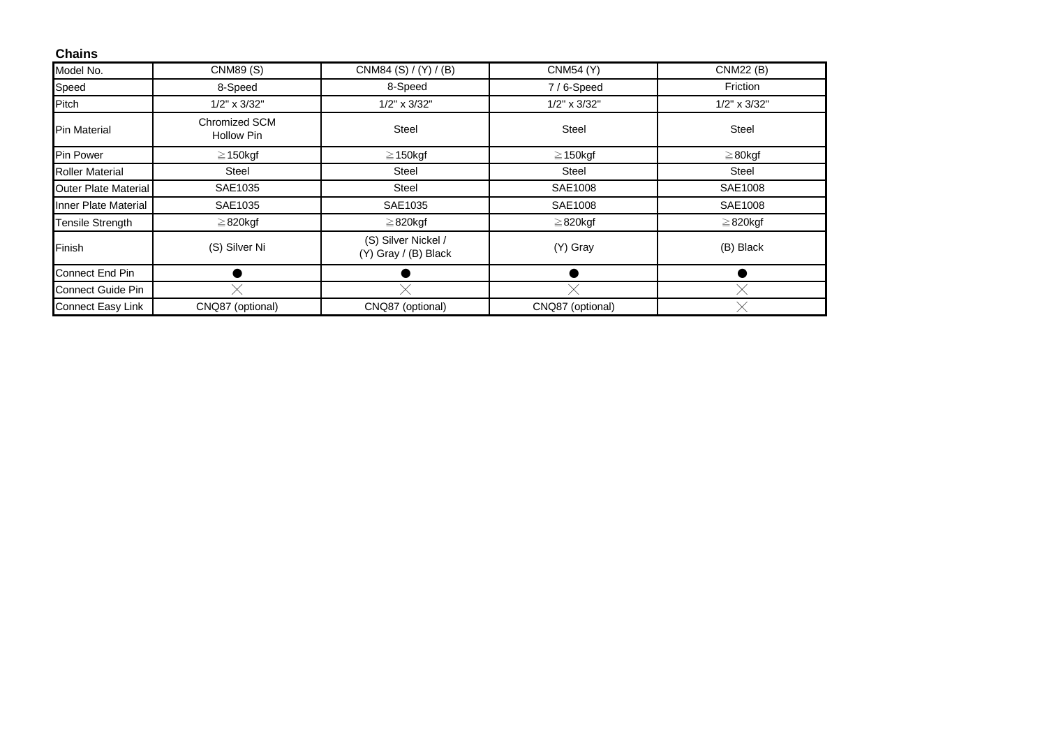| <b>Chains</b>               |                                    |                                             |                    |                    |
|-----------------------------|------------------------------------|---------------------------------------------|--------------------|--------------------|
| Model No.                   | <b>CNM89 (S)</b>                   | CNM84 (S) / (Y) / (B)                       | <b>CNM54 (Y)</b>   | <b>CNM22 (B)</b>   |
| Speed                       | 8-Speed                            | 8-Speed                                     | 7/6-Speed          | Friction           |
| Pitch                       | $1/2$ " x $3/32$ "                 | $1/2$ " x $3/32$ "                          | $1/2$ " x $3/32$ " | $1/2$ " x $3/32$ " |
| <b>Pin Material</b>         | Chromized SCM<br><b>Hollow Pin</b> | <b>Steel</b>                                | <b>Steel</b>       | <b>Steel</b>       |
| <b>Pin Power</b>            | $\geq$ 150kgf                      | $\geq$ 150kgf                               | $\geq$ 150kgf      | $\geq 80$ kgf      |
| <b>Roller Material</b>      | <b>Steel</b>                       | <b>Steel</b>                                | <b>Steel</b>       | <b>Steel</b>       |
| Outer Plate Material        | SAE1035                            | Steel                                       | SAE1008            | SAE1008            |
| <b>Inner Plate Material</b> | SAE1035                            | SAE1035                                     | SAE1008            | SAE1008            |
| <b>Tensile Strength</b>     | $\geq$ 820kgf                      | $\geq$ 820kgf                               | $\geq$ 820kgf      | $\geq$ 820kgf      |
| Finish                      | (S) Silver Ni                      | (S) Silver Nickel /<br>(Y) Gray / (B) Black | (Y) Gray           | (B) Black          |
| Connect End Pin             |                                    |                                             |                    |                    |
| <b>Connect Guide Pin</b>    |                                    |                                             |                    |                    |
| <b>Connect Easy Link</b>    | CNQ87 (optional)                   | CNQ87 (optional)                            | CNQ87 (optional)   |                    |